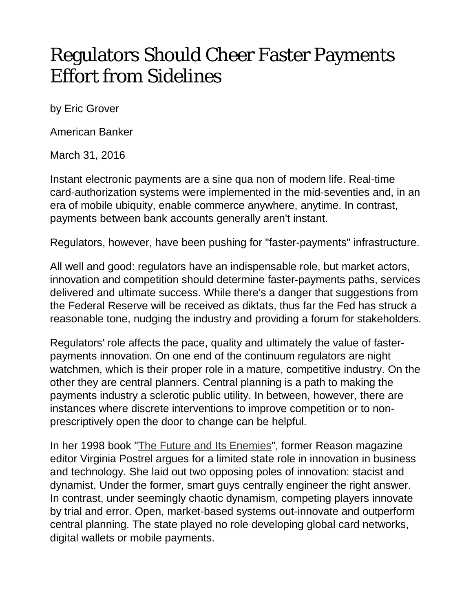## Regulators Should Cheer Faster Payments Effort from Sidelines

by Eric Grover

American Banker

March 31, 2016

Instant electronic payments are a sine qua non of modern life. Real-time card-authorization systems were implemented in the mid-seventies and, in an era of mobile ubiquity, enable commerce anywhere, anytime. In contrast, payments between bank accounts generally aren't instant.

Regulators, however, have been pushing for "faster-payments" infrastructure.

All well and good: regulators have an indispensable role, but market actors, innovation and competition should determine faster-payments paths, services delivered and ultimate success. While there's a danger that suggestions from the Federal Reserve will be received as diktats, thus far the Fed has struck a reasonable tone, nudging the industry and providing a forum for stakeholders.

Regulators' role affects the pace, quality and ultimately the value of fasterpayments innovation. On one end of the continuum regulators are night watchmen, which is their proper role in a mature, competitive industry. On the other they are central planners. Central planning is a path to making the payments industry a sclerotic public utility. In between, however, there are instances where discrete interventions to improve competition or to nonprescriptively open the door to change can be helpful.

In her 1998 book ["The Future and Its Enemies"](http://www.amazon.com/The-FUTURE-AND-ITS-ENEMIES/dp/0684862697), former Reason magazine editor Virginia Postrel argues for a limited state role in innovation in business and technology. She laid out two opposing poles of innovation: stacist and dynamist. Under the former, smart guys centrally engineer the right answer. In contrast, under seemingly chaotic dynamism, competing players innovate by trial and error. Open, market-based systems out-innovate and outperform central planning. The state played no role developing global card networks, digital wallets or mobile payments.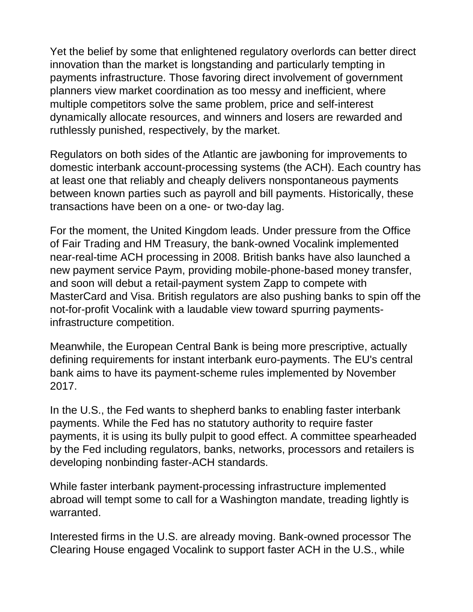Yet the belief by some that enlightened regulatory overlords can better direct innovation than the market is longstanding and particularly tempting in payments infrastructure. Those favoring direct involvement of government planners view market coordination as too messy and inefficient, where multiple competitors solve the same problem, price and self-interest dynamically allocate resources, and winners and losers are rewarded and ruthlessly punished, respectively, by the market.

Regulators on both sides of the Atlantic are jawboning for improvements to domestic interbank account-processing systems (the ACH). Each country has at least one that reliably and cheaply delivers nonspontaneous payments between known parties such as payroll and bill payments. Historically, these transactions have been on a one- or two-day lag.

For the moment, the United Kingdom leads. Under pressure from the Office of Fair Trading and HM Treasury, the bank-owned Vocalink implemented near-real-time ACH processing in 2008. British banks have also launched a new payment service Paym, providing mobile-phone-based money transfer, and soon will debut a retail-payment system Zapp to compete with MasterCard and Visa. British regulators are also pushing banks to spin off the not-for-profit Vocalink with a laudable view toward spurring paymentsinfrastructure competition.

Meanwhile, the European Central Bank is being more prescriptive, actually defining requirements for instant interbank euro-payments. The EU's central bank aims to have its payment-scheme rules implemented by November 2017.

In the U.S., the Fed wants to shepherd banks to enabling faster interbank payments. While the Fed has no statutory authority to require faster payments, it is using its bully pulpit to good effect. A committee spearheaded by the Fed including regulators, banks, networks, processors and retailers is developing nonbinding faster-ACH standards.

While faster interbank payment-processing infrastructure implemented abroad will tempt some to call for a Washington mandate, treading lightly is warranted.

Interested firms in the U.S. are already moving. Bank-owned processor The Clearing House engaged Vocalink to support faster ACH in the U.S., while